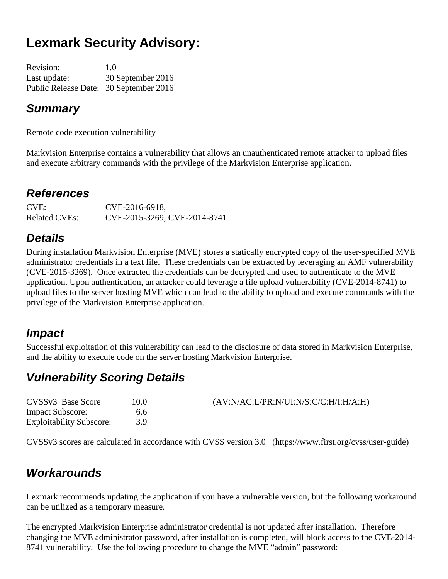# **Lexmark Security Advisory:**

Revision: 1.0 Last update: 30 September 2016 Public Release Date: 30 September 2016

### *Summary*

Remote code execution vulnerability

Markvision Enterprise contains a vulnerability that allows an unauthenticated remote attacker to upload files and execute arbitrary commands with the privilege of the Markvision Enterprise application.

## *References*

CVE: CVE-2016-6918, Related CVEs: CVE-2015-3269, CVE-2014-8741

## *Details*

During installation Markvision Enterprise (MVE) stores a statically encrypted copy of the user-specified MVE administrator credentials in a text file. These credentials can be extracted by leveraging an AMF vulnerability (CVE-2015-3269). Once extracted the credentials can be decrypted and used to authenticate to the MVE application. Upon authentication, an attacker could leverage a file upload vulnerability (CVE-2014-8741) to upload files to the server hosting MVE which can lead to the ability to upload and execute commands with the privilege of the Markvision Enterprise application.

## *Impact*

Successful exploitation of this vulnerability can lead to the disclosure of data stored in Markvision Enterprise, and the ability to execute code on the server hosting Markvision Enterprise.

## *Vulnerability Scoring Details*

| CVSSv3 Base Score               | 10.0 | (AV:N/AC:L/PR:N/UI:N/S:C/C:H/I:H/A:H) |
|---------------------------------|------|---------------------------------------|
| <b>Impact Subscore:</b>         | 6.6  |                                       |
| <b>Exploitability Subscore:</b> |      |                                       |

CVSSv3 scores are calculated in accordance with CVSS version 3.0 (https://www.first.org/cvss/user-guide)

## *Workarounds*

Lexmark recommends updating the application if you have a vulnerable version, but the following workaround can be utilized as a temporary measure.

The encrypted Markvision Enterprise administrator credential is not updated after installation. Therefore changing the MVE administrator password, after installation is completed, will block access to the CVE-2014- 8741 vulnerability. Use the following procedure to change the MVE "admin" password: